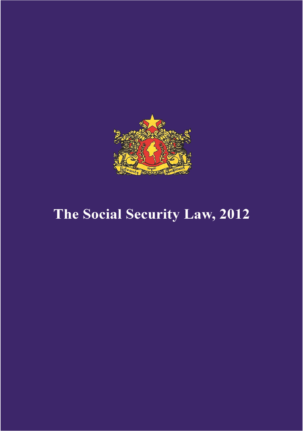

# The Social Security Law, 2012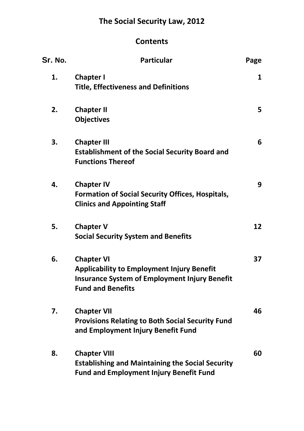## **The Social Security Law, 2012**

### **Contents**

| Sr. No. | <b>Particular</b>                                                                                                                                          | Page |
|---------|------------------------------------------------------------------------------------------------------------------------------------------------------------|------|
| 1.      | <b>Chapter I</b><br><b>Title, Effectiveness and Definitions</b>                                                                                            | 1    |
| 2.      | <b>Chapter II</b><br><b>Objectives</b>                                                                                                                     | 5    |
| 3.      | <b>Chapter III</b><br><b>Establishment of the Social Security Board and</b><br><b>Functions Thereof</b>                                                    | 6    |
| 4.      | <b>Chapter IV</b><br><b>Formation of Social Security Offices, Hospitals,</b><br><b>Clinics and Appointing Staff</b>                                        | 9    |
| 5.      | <b>Chapter V</b><br><b>Social Security System and Benefits</b>                                                                                             | 12   |
| 6.      | <b>Chapter VI</b><br><b>Applicability to Employment Injury Benefit</b><br><b>Insurance System of Employment Injury Benefit</b><br><b>Fund and Benefits</b> | 37   |
| 7.      | <b>Chapter VII</b><br><b>Provisions Relating to Both Social Security Fund</b><br>and Employment Injury Benefit Fund                                        | 46   |
| 8.      | <b>Chapter VIII</b><br><b>Establishing and Maintaining the Social Security</b><br><b>Fund and Employment Injury Benefit Fund</b>                           | 60   |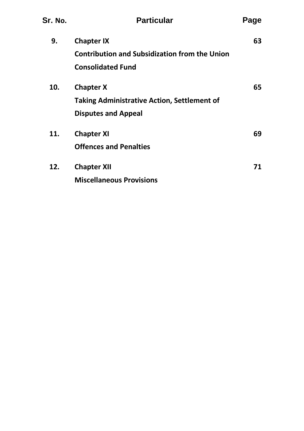| Sr. No. | <b>Particular</b>                                    | Page |
|---------|------------------------------------------------------|------|
| 9.      | <b>Chapter IX</b>                                    | 63   |
|         | <b>Contribution and Subsidization from the Union</b> |      |
|         | <b>Consolidated Fund</b>                             |      |
| 10.     | <b>Chapter X</b>                                     | 65   |
|         | <b>Taking Administrative Action, Settlement of</b>   |      |
|         | <b>Disputes and Appeal</b>                           |      |
| 11.     | <b>Chapter XI</b>                                    | 69   |
|         | <b>Offences and Penalties</b>                        |      |
| 12.     | <b>Chapter XII</b>                                   | 71   |
|         | <b>Miscellaneous Provisions</b>                      |      |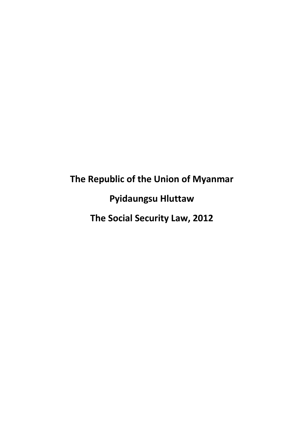# **The Republic of the Union of Myanmar Pyidaungsu Hluttaw The Social Security Law, 2012**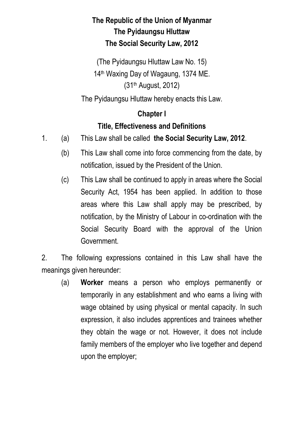## **The Republic of the Union of Myanmar The Pyidaungsu Hluttaw The Social Security Law, 2012**

(The Pyidaungsu Hluttaw Law No. 15) 14th Waxing Day of Wagaung, 1374 ME. (31th August, 2012)

The Pyidaungsu Hluttaw hereby enacts this Law.

#### **Chapter I**

### **Title, Effectiveness and Definitions**

- 1. (a) This Law shall be called **the Social Security Law, 2012**.
	- (b) This Law shall come into force commencing from the date, by notification, issued by the President of the Union.
	- (c) This Law shall be continued to apply in areas where the Social Security Act, 1954 has been applied. In addition to those areas where this Law shall apply may be prescribed, by notification, by the Ministry of Labour in co-ordination with the Social Security Board with the approval of the Union Government.

2. The following expressions contained in this Law shall have the meanings given hereunder:

 (a) **Worker** means a person who employs permanently or temporarily in any establishment and who earns a living with wage obtained by using physical or mental capacity. In such expression, it also includes apprentices and trainees whether they obtain the wage or not. However, it does not include family members of the employer who live together and depend upon the employer;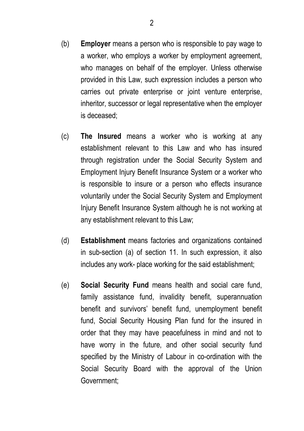- (b) **Employer** means a person who is responsible to pay wage to a worker, who employs a worker by employment agreement, who manages on behalf of the employer. Unless otherwise provided in this Law, such expression includes a person who carries out private enterprise or joint venture enterprise, inheritor, successor or legal representative when the employer is deceased;
- (c) **The Insured** means a worker who is working at any establishment relevant to this Law and who has insured through registration under the Social Security System and Employment Injury Benefit Insurance System or a worker who is responsible to insure or a person who effects insurance voluntarily under the Social Security System and Employment Injury Benefit Insurance System although he is not working at any establishment relevant to this Law;
- (d) **Establishment** means factories and organizations contained in sub-section (a) of section 11. In such expression, it also includes any work- place working for the said establishment;
- (e) **Social Security Fund** means health and social care fund, family assistance fund, invalidity benefit, superannuation benefit and survivors' benefit fund, unemployment benefit fund, Social Security Housing Plan fund for the insured in order that they may have peacefulness in mind and not to have worry in the future, and other social security fund specified by the Ministry of Labour in co-ordination with the Social Security Board with the approval of the Union Government;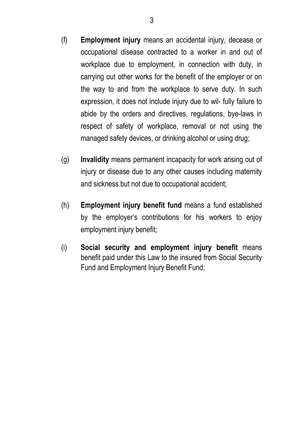- (f) **Employment injury** means an accidental injury, decease or occupational disease contracted to a worker in and out of workplace due to employment, in connection with duty, in carrying out other works for the benefit of the employer or on the way to and from the workplace to serve duty. In such expression, it does not include injury due to wil- fully failure to abide by the orders and directives, regulations, bye-laws in respect of safety of workplace, removal or not using the managed safety devices, or drinking alcohol or using drug;
- (g) **Invalidity** means permanent incapacity for work arising out of injury or disease due to any other causes including maternity and sickness but not due to occupational accident;
- (h) **Employment injury benefit fund** means a fund established by the employer's contributions for his workers to enjoy employment injury benefit;
- (i) **Social security and employment injury benefit** means benefit paid under this Law to the insured from Social Security Fund and Employment Injury Benefit Fund;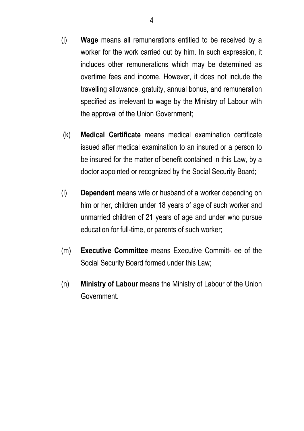- (j) **Wage** means all remunerations entitled to be received by a worker for the work carried out by him. In such expression, it includes other remunerations which may be determined as overtime fees and income. However, it does not include the travelling allowance, gratuity, annual bonus, and remuneration specified as irrelevant to wage by the Ministry of Labour with the approval of the Union Government;
- (k) **Medical Certificate** means medical examination certificate issued after medical examination to an insured or a person to be insured for the matter of benefit contained in this Law, by a doctor appointed or recognized by the Social Security Board;
- (l) **Dependent** means wife or husband of a worker depending on him or her, children under 18 years of age of such worker and unmarried children of 21 years of age and under who pursue education for full-time, or parents of such worker;
- (m) **Executive Committee** means Executive Committ- ee of the Social Security Board formed under this Law;
- (n) **Ministry of Labour** means the Ministry of Labour of the Union Government.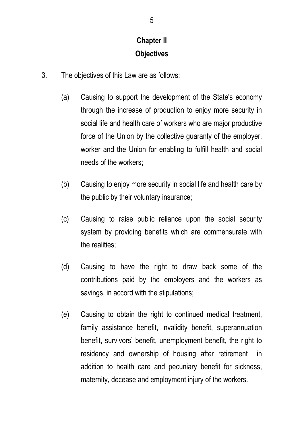## **Chapter II Objectives**

- 3. The objectives of this Law are as follows:
	- (a) Causing to support the development of the State's economy through the increase of production to enjoy more security in social life and health care of workers who are major productive force of the Union by the collective guaranty of the employer, worker and the Union for enabling to fulfill health and social needs of the workers;
	- (b) Causing to enjoy more security in social life and health care by the public by their voluntary insurance;
	- (c) Causing to raise public reliance upon the social security system by providing benefits which are commensurate with the realities;
	- (d) Causing to have the right to draw back some of the contributions paid by the employers and the workers as savings, in accord with the stipulations;
	- (e) Causing to obtain the right to continued medical treatment, family assistance benefit, invalidity benefit, superannuation benefit, survivors' benefit, unemployment benefit, the right to residency and ownership of housing after retirement in addition to health care and pecuniary benefit for sickness, maternity, decease and employment injury of the workers.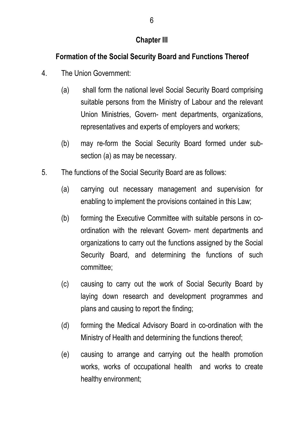#### **Chapter III**

## **Formation of the Social Security Board and Functions Thereof**

- 4. The Union Government:
	- (a) shall form the national level Social Security Board comprising suitable persons from the Ministry of Labour and the relevant Union Ministries, Govern- ment departments, organizations, representatives and experts of employers and workers;
	- (b) may re-form the Social Security Board formed under subsection (a) as may be necessary.
- 5. The functions of the Social Security Board are as follows:
	- (a) carrying out necessary management and supervision for enabling to implement the provisions contained in this Law;
	- (b) forming the Executive Committee with suitable persons in coordination with the relevant Govern- ment departments and organizations to carry out the functions assigned by the Social Security Board, and determining the functions of such committee;
	- (c) causing to carry out the work of Social Security Board by laying down research and development programmes and plans and causing to report the finding;
	- (d) forming the Medical Advisory Board in co-ordination with the Ministry of Health and determining the functions thereof;
	- (e) causing to arrange and carrying out the health promotion works, works of occupational health and works to create healthy environment;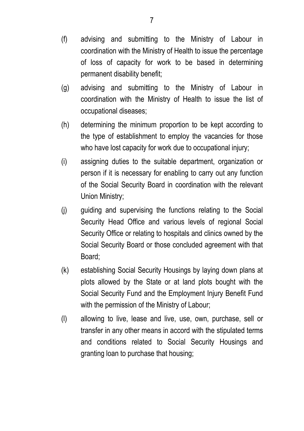- (f) advising and submitting to the Ministry of Labour in coordination with the Ministry of Health to issue the percentage of loss of capacity for work to be based in determining permanent disability benefit;
- (g) advising and submitting to the Ministry of Labour in coordination with the Ministry of Health to issue the list of occupational diseases;
- (h) determining the minimum proportion to be kept according to the type of establishment to employ the vacancies for those who have lost capacity for work due to occupational injury;
- (i) assigning duties to the suitable department, organization or person if it is necessary for enabling to carry out any function of the Social Security Board in coordination with the relevant Union Ministry;
- (j) guiding and supervising the functions relating to the Social Security Head Office and various levels of regional Social Security Office or relating to hospitals and clinics owned by the Social Security Board or those concluded agreement with that Board;
- (k) establishing Social Security Housings by laying down plans at plots allowed by the State or at land plots bought with the Social Security Fund and the Employment Injury Benefit Fund with the permission of the Ministry of Labour;
- (l) allowing to live, lease and live, use, own, purchase, sell or transfer in any other means in accord with the stipulated terms and conditions related to Social Security Housings and granting loan to purchase that housing;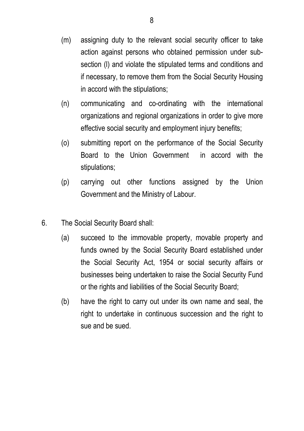- (m) assigning duty to the relevant social security officer to take action against persons who obtained permission under subsection (l) and violate the stipulated terms and conditions and if necessary, to remove them from the Social Security Housing in accord with the stipulations;
- (n) communicating and co-ordinating with the international organizations and regional organizations in order to give more effective social security and employment injury benefits;
- (o) submitting report on the performance of the Social Security Board to the Union Government in accord with the stipulations;
- (p) carrying out other functions assigned by the Union Government and the Ministry of Labour.
- 6. The Social Security Board shall:
	- (a) succeed to the immovable property, movable property and funds owned by the Social Security Board established under the Social Security Act, 1954 or social security affairs or businesses being undertaken to raise the Social Security Fund or the rights and liabilities of the Social Security Board;
	- (b) have the right to carry out under its own name and seal, the right to undertake in continuous succession and the right to sue and be sued.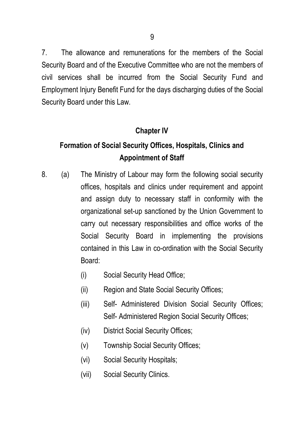7. The allowance and remunerations for the members of the Social Security Board and of the Executive Committee who are not the members of civil services shall be incurred from the Social Security Fund and Employment Injury Benefit Fund for the days discharging duties of the Social Security Board under this Law.

#### **Chapter IV**

## **Formation of Social Security Offices, Hospitals, Clinics and Appointment of Staff**

- 8. (a) The Ministry of Labour may form the following social security offices, hospitals and clinics under requirement and appoint and assign duty to necessary staff in conformity with the organizational set-up sanctioned by the Union Government to carry out necessary responsibilities and office works of the Social Security Board in implementing the provisions contained in this Law in co-ordination with the Social Security Board:
	- (i) Social Security Head Office;
	- (ii) Region and State Social Security Offices;
	- (iii) Self- Administered Division Social Security Offices; Self- Administered Region Social Security Offices;
	- (iv) District Social Security Offices;
	- (v) Township Social Security Offices;
	- (vi) Social Security Hospitals;
	- (vii) Social Security Clinics.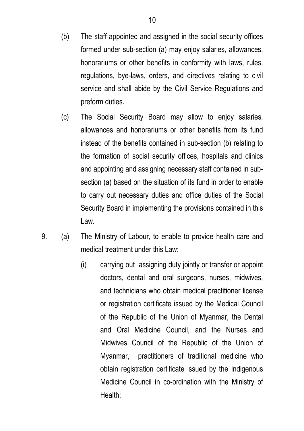- (b) The staff appointed and assigned in the social security offices formed under sub-section (a) may enjoy salaries, allowances, honorariums or other benefits in conformity with laws, rules, regulations, bye-laws, orders, and directives relating to civil service and shall abide by the Civil Service Regulations and preform duties.
- (c) The Social Security Board may allow to enjoy salaries, allowances and honorariums or other benefits from its fund instead of the benefits contained in sub-section (b) relating to the formation of social security offices, hospitals and clinics and appointing and assigning necessary staff contained in subsection (a) based on the situation of its fund in order to enable to carry out necessary duties and office duties of the Social Security Board in implementing the provisions contained in this Law.
- 9. (a) The Ministry of Labour, to enable to provide health care and medical treatment under this Law:
	- (i) carrying out assigning duty jointly or transfer or appoint doctors, dental and oral surgeons, nurses, midwives, and technicians who obtain medical practitioner license or registration certificate issued by the Medical Council of the Republic of the Union of Myanmar, the Dental and Oral Medicine Council, and the Nurses and Midwives Council of the Republic of the Union of Myanmar, practitioners of traditional medicine who obtain registration certificate issued by the Indigenous Medicine Council in co-ordination with the Ministry of Health;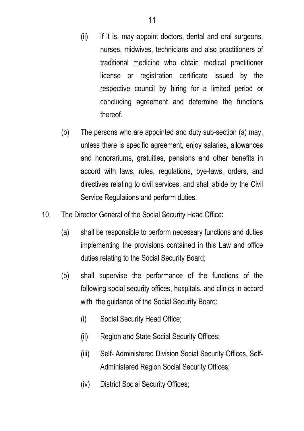- (ii) if it is, may appoint doctors, dental and oral surgeons, nurses, midwives, technicians and also practitioners of traditional medicine who obtain medical practitioner license or registration certificate issued by the respective council by hiring for a limited period or concluding agreement and determine the functions thereof.
- (b) The persons who are appointed and duty sub-section (a) may, unless there is specific agreement, enjoy salaries, allowances and honorariums, gratuities, pensions and other benefits in accord with laws, rules, regulations, bye-laws, orders, and directives relating to civil services, and shall abide by the Civil Service Regulations and perform duties.
- 10. The Director General of the Social Security Head Office:
	- (a) shall be responsible to perform necessary functions and duties implementing the provisions contained in this Law and office duties relating to the Social Security Board;
	- (b) shall supervise the performance of the functions of the following social security offices, hospitals, and clinics in accord with the guidance of the Social Security Board:
		- (i) Social Security Head Office;
		- (ii) Region and State Social Security Offices;
		- (iii) Self- Administered Division Social Security Offices, Self-Administered Region Social Security Offices;
		- (iv) District Social Security Offices;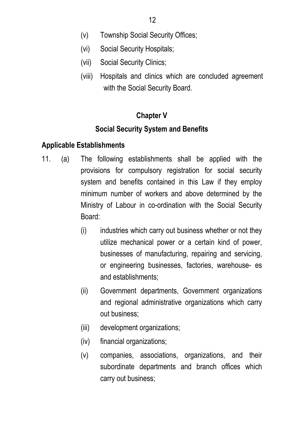- (v) Township Social Security Offices;
- (vi) Social Security Hospitals;
- (vii) Social Security Clinics;
- (viii) Hospitals and clinics which are concluded agreement with the Social Security Board.

### **Chapter V**

### **Social Security System and Benefits**

#### **Applicable Establishments**

- 11. (a) The following establishments shall be applied with the provisions for compulsory registration for social security system and benefits contained in this Law if they employ minimum number of workers and above determined by the Ministry of Labour in co-ordination with the Social Security Board:
	- (i) industries which carry out business whether or not they utilize mechanical power or a certain kind of power, businesses of manufacturing, repairing and servicing, or engineering businesses, factories, warehouse- es and establishments;
	- (ii) Government departments, Government organizations and regional administrative organizations which carry out business;
	- (iii) development organizations;
	- (iv) financial organizations;
	- (v) companies, associations, organizations, and their subordinate departments and branch offices which carry out business;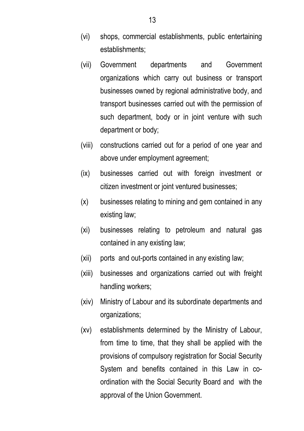- (vi) shops, commercial establishments, public entertaining establishments;
- (vii) Government departments and Government organizations which carry out business or transport businesses owned by regional administrative body, and transport businesses carried out with the permission of such department, body or in joint venture with such department or body;
- (viii) constructions carried out for a period of one year and above under employment agreement;
- (ix) businesses carried out with foreign investment or citizen investment or joint ventured businesses;
- (x) businesses relating to mining and gem contained in any existing law;
- (xi) businesses relating to petroleum and natural gas contained in any existing law;
- (xii) ports and out-ports contained in any existing law;
- (xiii) businesses and organizations carried out with freight handling workers;
- (xiv) Ministry of Labour and its subordinate departments and organizations;
- (xv) establishments determined by the Ministry of Labour, from time to time, that they shall be applied with the provisions of compulsory registration for Social Security System and benefits contained in this Law in coordination with the Social Security Board and with the approval of the Union Government.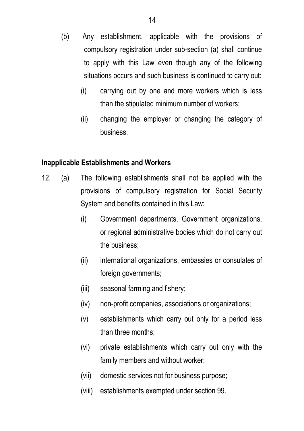- (b) Any establishment, applicable with the provisions of compulsory registration under sub-section (a) shall continue to apply with this Law even though any of the following situations occurs and such business is continued to carry out:
	- (i) carrying out by one and more workers which is less than the stipulated minimum number of workers;
	- (ii) changing the employer or changing the category of business.

#### **Inapplicable Establishments and Workers**

- 12. (a) The following establishments shall not be applied with the provisions of compulsory registration for Social Security System and benefits contained in this Law:
	- (i) Government departments, Government organizations, or regional administrative bodies which do not carry out the business;
	- (ii) international organizations, embassies or consulates of foreign governments;
	- (iii) seasonal farming and fishery;
	- (iv) non-profit companies, associations or organizations;
	- (v) establishments which carry out only for a period less than three months;
	- (vi) private establishments which carry out only with the family members and without worker;
	- (vii) domestic services not for business purpose;
	- (viii) establishments exempted under section 99.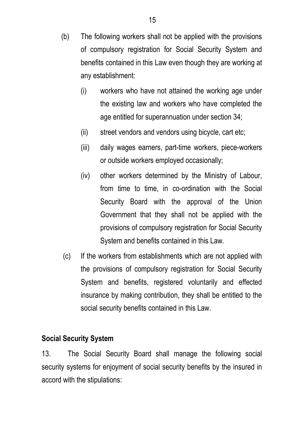- (b) The following workers shall not be applied with the provisions of compulsory registration for Social Security System and benefits contained in this Law even though they are working at any establishment:
	- (i) workers who have not attained the working age under the existing law and workers who have completed the age entitled for superannuation under section 34;
	- (ii) street vendors and vendors using bicycle, cart etc;
	- (iii) daily wages earners, part-time workers, piece-workers or outside workers employed occasionally;
	- (iv) other workers determined by the Ministry of Labour, from time to time, in co-ordination with the Social Security Board with the approval of the Union Government that they shall not be applied with the provisions of compulsory registration for Social Security System and benefits contained in this Law.
- (c) If the workers from establishments which are not applied with the provisions of compulsory registration for Social Security System and benefits, registered voluntarily and effected insurance by making contribution, they shall be entitled to the social security benefits contained in this Law.

#### **Social Security System**

13. The Social Security Board shall manage the following social security systems for enjoyment of social security benefits by the insured in accord with the stipulations: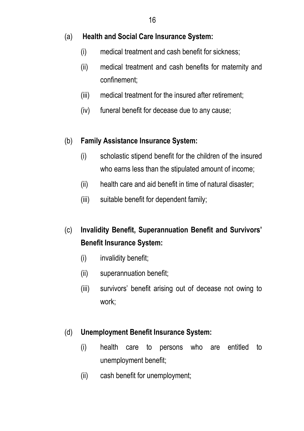#### (a) **Health and Social Care Insurance System:**

- (i) medical treatment and cash benefit for sickness;
- (ii) medical treatment and cash benefits for maternity and confinement;
- (iii) medical treatment for the insured after retirement;
- (iv) funeral benefit for decease due to any cause;

#### (b) **Family Assistance Insurance System:**

- (i) scholastic stipend benefit for the children of the insured who earns less than the stipulated amount of income;
- (ii) health care and aid benefit in time of natural disaster;
- (iii) suitable benefit for dependent family;
- (c) **Invalidity Benefit, Superannuation Benefit and Survivors' Benefit Insurance System:**
	- (i) invalidity benefit;
	- (ii) superannuation benefit;
	- (iii) survivors' benefit arising out of decease not owing to work;

### (d) **Unemployment Benefit Insurance System:**

- (i) health care to persons who are entitled to unemployment benefit;
- (ii) cash benefit for unemployment;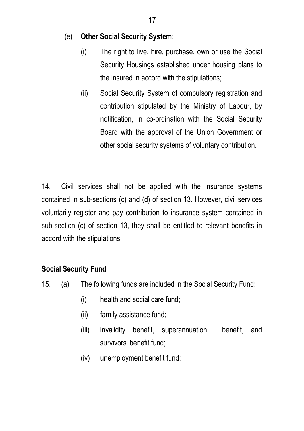#### (e) **Other Social Security System:**

- (i) The right to live, hire, purchase, own or use the Social Security Housings established under housing plans to the insured in accord with the stipulations;
- (ii) Social Security System of compulsory registration and contribution stipulated by the Ministry of Labour, by notification, in co-ordination with the Social Security Board with the approval of the Union Government or other social security systems of voluntary contribution.

14. Civil services shall not be applied with the insurance systems contained in sub-sections (c) and (d) of section 13. However, civil services voluntarily register and pay contribution to insurance system contained in sub-section (c) of section 13, they shall be entitled to relevant benefits in accord with the stipulations.

#### **Social Security Fund**

- 15. (a) The following funds are included in the Social Security Fund:
	- (i) health and social care fund;
	- (ii) family assistance fund;
	- (iii) invalidity benefit, superannuation benefit, and survivors' benefit fund;
	- (iv) unemployment benefit fund;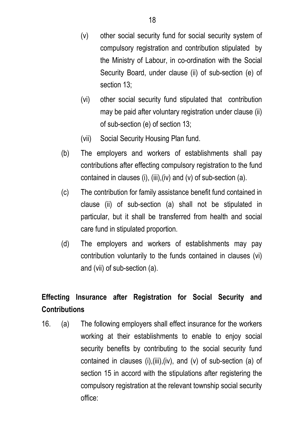- (v) other social security fund for social security system of compulsory registration and contribution stipulated by the Ministry of Labour, in co-ordination with the Social Security Board, under clause (ii) of sub-section (e) of section 13:
- (vi) other social security fund stipulated that contribution may be paid after voluntary registration under clause (ii) of sub-section (e) of section 13;
- (vii) Social Security Housing Plan fund.
- (b) The employers and workers of establishments shall pay contributions after effecting compulsory registration to the fund contained in clauses (i), (iii),(iv) and (v) of sub-section (a).
- (c) The contribution for family assistance benefit fund contained in clause (ii) of sub-section (a) shall not be stipulated in particular, but it shall be transferred from health and social care fund in stipulated proportion.
- (d) The employers and workers of establishments may pay contribution voluntarily to the funds contained in clauses (vi) and (vii) of sub-section (a).

## **Effecting Insurance after Registration for Social Security and Contributions**

16. (a) The following employers shall effect insurance for the workers working at their establishments to enable to enjoy social security benefits by contributing to the social security fund contained in clauses (i),(iii),(iv), and (v) of sub-section (a) of section 15 in accord with the stipulations after registering the compulsory registration at the relevant township social security office: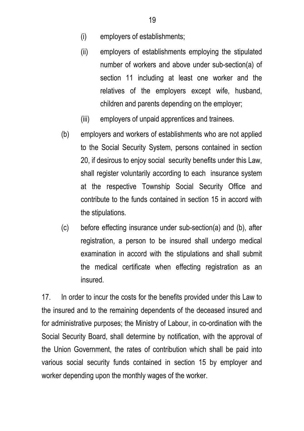- (i) employers of establishments;
- (ii) employers of establishments employing the stipulated number of workers and above under sub-section(a) of section 11 including at least one worker and the relatives of the employers except wife, husband, children and parents depending on the employer;
- (iii) employers of unpaid apprentices and trainees.
- (b) employers and workers of establishments who are not applied to the Social Security System, persons contained in section 20, if desirous to enjoy social security benefits under this Law, shall register voluntarily according to each insurance system at the respective Township Social Security Office and contribute to the funds contained in section 15 in accord with the stipulations.
- (c) before effecting insurance under sub-section(a) and (b), after registration, a person to be insured shall undergo medical examination in accord with the stipulations and shall submit the medical certificate when effecting registration as an insured.

17. In order to incur the costs for the benefits provided under this Law to the insured and to the remaining dependents of the deceased insured and for administrative purposes; the Ministry of Labour, in co-ordination with the Social Security Board, shall determine by notification, with the approval of the Union Government, the rates of contribution which shall be paid into various social security funds contained in section 15 by employer and worker depending upon the monthly wages of the worker.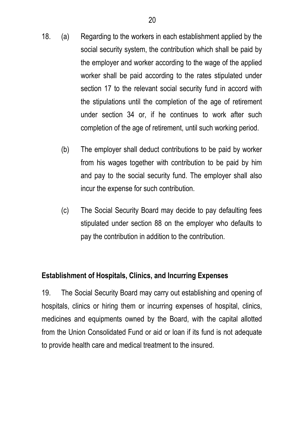- 18. (a) Regarding to the workers in each establishment applied by the social security system, the contribution which shall be paid by the employer and worker according to the wage of the applied worker shall be paid according to the rates stipulated under section 17 to the relevant social security fund in accord with the stipulations until the completion of the age of retirement under section 34 or, if he continues to work after such completion of the age of retirement, until such working period.
	- (b) The employer shall deduct contributions to be paid by worker from his wages together with contribution to be paid by him and pay to the social security fund. The employer shall also incur the expense for such contribution.
	- (c) The Social Security Board may decide to pay defaulting fees stipulated under section 88 on the employer who defaults to pay the contribution in addition to the contribution.

### **Establishment of Hospitals, Clinics, and Incurring Expenses**

19. The Social Security Board may carry out establishing and opening of hospitals, clinics or hiring them or incurring expenses of hospital, clinics, medicines and equipments owned by the Board, with the capital allotted from the Union Consolidated Fund or aid or loan if its fund is not adequate to provide health care and medical treatment to the insured.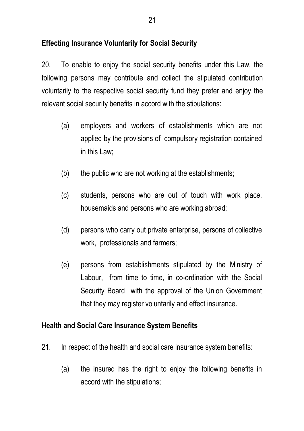#### **Effecting Insurance Voluntarily for Social Security**

20. To enable to enjoy the social security benefits under this Law, the following persons may contribute and collect the stipulated contribution voluntarily to the respective social security fund they prefer and enjoy the relevant social security benefits in accord with the stipulations:

- (a) employers and workers of establishments which are not applied by the provisions of compulsory registration contained in this Law;
- (b) the public who are not working at the establishments;
- (c) students, persons who are out of touch with work place, housemaids and persons who are working abroad;
- (d) persons who carry out private enterprise, persons of collective work, professionals and farmers;
- (e) persons from establishments stipulated by the Ministry of Labour, from time to time, in co-ordination with the Social Security Board with the approval of the Union Government that they may register voluntarily and effect insurance.

#### **Health and Social Care Insurance System Benefits**

- 21. In respect of the health and social care insurance system benefits:
	- (a) the insured has the right to enjoy the following benefits in accord with the stipulations;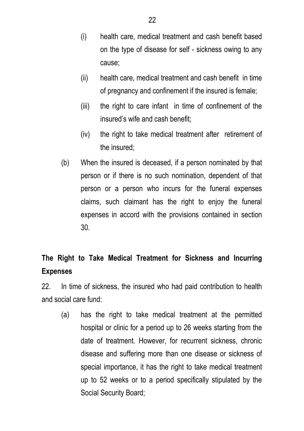- (i) health care, medical treatment and cash benefit based on the type of disease for self - sickness owing to any cause;
- (ii) health care, medical treatment and cash benefit in time of pregnancy and confinement if the insured is female;
- (iii) the right to care infant in time of confinement of the insured's wife and cash benefit;
- (iv) the right to take medical treatment after retirement of the insured;
- (b) When the insured is deceased, if a person nominated by that person or if there is no such nomination, dependent of that person or a person who incurs for the funeral expenses claims, such claimant has the right to enjoy the funeral expenses in accord with the provisions contained in section 30.

## **The Right to Take Medical Treatment for Sickness and Incurring Expenses**

22. In time of sickness, the insured who had paid contribution to health and social care fund:

 (a) has the right to take medical treatment at the permitted hospital or clinic for a period up to 26 weeks starting from the date of treatment. However, for recurrent sickness, chronic disease and suffering more than one disease or sickness of special importance, it has the right to take medical treatment up to 52 weeks or to a period specifically stipulated by the Social Security Board;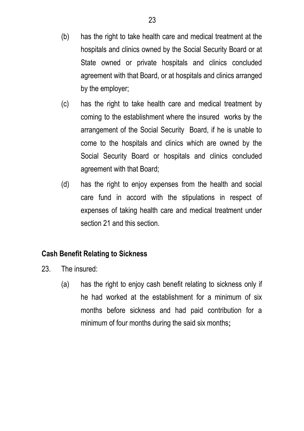- (b) has the right to take health care and medical treatment at the hospitals and clinics owned by the Social Security Board or at State owned or private hospitals and clinics concluded agreement with that Board, or at hospitals and clinics arranged by the employer;
- (c) has the right to take health care and medical treatment by coming to the establishment where the insured works by the arrangement of the Social Security Board, if he is unable to come to the hospitals and clinics which are owned by the Social Security Board or hospitals and clinics concluded agreement with that Board;
- (d) has the right to enjoy expenses from the health and social care fund in accord with the stipulations in respect of expenses of taking health care and medical treatment under section 21 and this section.

### **Cash Benefit Relating to Sickness**

- 23. The insured:
	- (a) has the right to enjoy cash benefit relating to sickness only if he had worked at the establishment for a minimum of six months before sickness and had paid contribution for a minimum of four months during the said six months;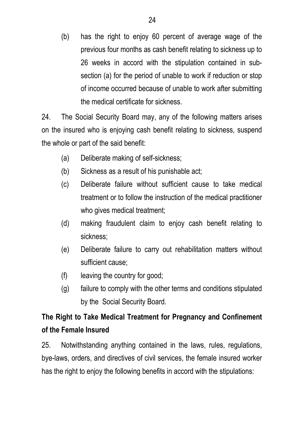(b) has the right to enjoy 60 percent of average wage of the previous four months as cash benefit relating to sickness up to 26 weeks in accord with the stipulation contained in subsection (a) for the period of unable to work if reduction or stop of income occurred because of unable to work after submitting the medical certificate for sickness.

24. The Social Security Board may, any of the following matters arises on the insured who is enjoying cash benefit relating to sickness, suspend the whole or part of the said benefit:

- (a) Deliberate making of self-sickness;
- (b) Sickness as a result of his punishable act;
- (c) Deliberate failure without sufficient cause to take medical treatment or to follow the instruction of the medical practitioner who gives medical treatment;
- (d) making fraudulent claim to enjoy cash benefit relating to sickness;
- (e) Deliberate failure to carry out rehabilitation matters without sufficient cause;
- (f) leaving the country for good;
- (g) failure to comply with the other terms and conditions stipulated by the Social Security Board.

# **The Right to Take Medical Treatment for Pregnancy and Confinement of the Female Insured**

25. Notwithstanding anything contained in the laws, rules, regulations, bye-laws, orders, and directives of civil services, the female insured worker has the right to enjoy the following benefits in accord with the stipulations: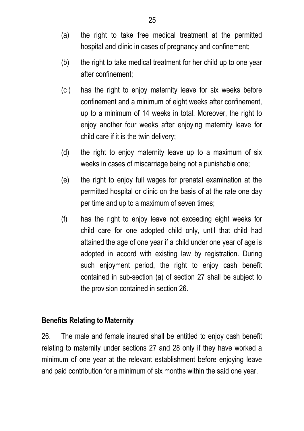- (a) the right to take free medical treatment at the permitted hospital and clinic in cases of pregnancy and confinement:
- (b) the right to take medical treatment for her child up to one year after confinement;
- (c ) has the right to enjoy maternity leave for six weeks before confinement and a minimum of eight weeks after confinement, up to a minimum of 14 weeks in total. Moreover, the right to enjoy another four weeks after enjoying maternity leave for child care if it is the twin delivery;
- (d) the right to enjoy maternity leave up to a maximum of six weeks in cases of miscarriage being not a punishable one;
- (e) the right to enjoy full wages for prenatal examination at the permitted hospital or clinic on the basis of at the rate one day per time and up to a maximum of seven times;
- (f) has the right to enjoy leave not exceeding eight weeks for child care for one adopted child only, until that child had attained the age of one year if a child under one year of age is adopted in accord with existing law by registration. During such enjoyment period, the right to enjoy cash benefit contained in sub-section (a) of section 27 shall be subject to the provision contained in section 26.

#### **Benefits Relating to Maternity**

26. The male and female insured shall be entitled to enjoy cash benefit relating to maternity under sections 27 and 28 only if they have worked a minimum of one year at the relevant establishment before enjoying leave and paid contribution for a minimum of six months within the said one year.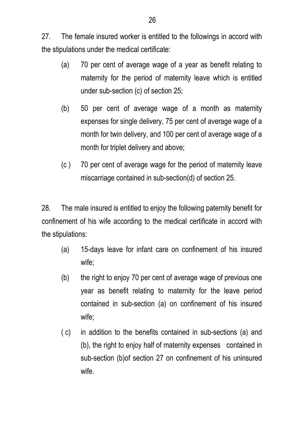27. The female insured worker is entitled to the followings in accord with the stipulations under the medical certificate:

- (a) 70 per cent of average wage of a year as benefit relating to maternity for the period of maternity leave which is entitled under sub-section (c) of section 25;
- (b) 50 per cent of average wage of a month as maternity expenses for single delivery, 75 per cent of average wage of a month for twin delivery, and 100 per cent of average wage of a month for triplet delivery and above;
- (c ) 70 per cent of average wage for the period of maternity leave miscarriage contained in sub-section(d) of section 25.

28. The male insured is entitled to enjoy the following paternity benefit for confinement of his wife according to the medical certificate in accord with the stipulations:

- (a) 15-days leave for infant care on confinement of his insured wife;
- (b) the right to enjoy 70 per cent of average wage of previous one year as benefit relating to maternity for the leave period contained in sub-section (a) on confinement of his insured wife;
- ( c) in addition to the benefits contained in sub-sections (a) and (b), the right to enjoy half of maternity expenses contained in sub-section (b)of section 27 on confinement of his uninsured wife.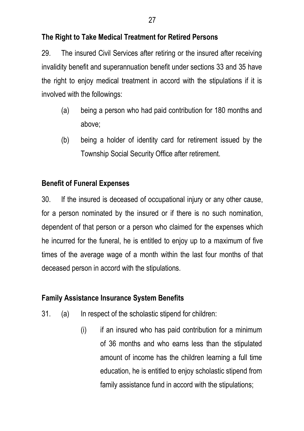#### **The Right to Take Medical Treatment for Retired Persons**

29. The insured Civil Services after retiring or the insured after receiving invalidity benefit and superannuation benefit under sections 33 and 35 have the right to enjoy medical treatment in accord with the stipulations if it is involved with the followings:

- (a) being a person who had paid contribution for 180 months and above;
- (b) being a holder of identity card for retirement issued by the Township Social Security Office after retirement.

#### **Benefit of Funeral Expenses**

30. If the insured is deceased of occupational injury or any other cause, for a person nominated by the insured or if there is no such nomination, dependent of that person or a person who claimed for the expenses which he incurred for the funeral, he is entitled to enjoy up to a maximum of five times of the average wage of a month within the last four months of that deceased person in accord with the stipulations.

### **Family Assistance Insurance System Benefits**

- 31. (a) In respect of the scholastic stipend for children:
	- (i) if an insured who has paid contribution for a minimum of 36 months and who earns less than the stipulated amount of income has the children learning a full time education, he is entitled to enjoy scholastic stipend from family assistance fund in accord with the stipulations;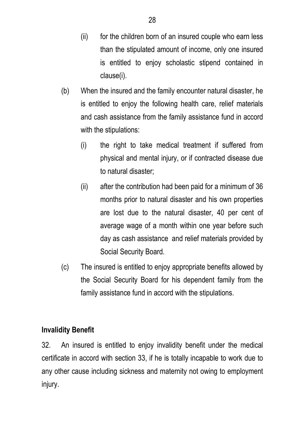- (ii) for the children born of an insured couple who earn less than the stipulated amount of income, only one insured is entitled to enjoy scholastic stipend contained in clause(i).
- (b) When the insured and the family encounter natural disaster, he is entitled to enjoy the following health care, relief materials and cash assistance from the family assistance fund in accord with the stipulations:
	- (i) the right to take medical treatment if suffered from physical and mental injury, or if contracted disease due to natural disaster;
	- (ii) after the contribution had been paid for a minimum of 36 months prior to natural disaster and his own properties are lost due to the natural disaster, 40 per cent of average wage of a month within one year before such day as cash assistance and relief materials provided by Social Security Board.
- (c) The insured is entitled to enjoy appropriate benefits allowed by the Social Security Board for his dependent family from the family assistance fund in accord with the stipulations.

#### **Invalidity Benefit**

32. An insured is entitled to enjoy invalidity benefit under the medical certificate in accord with section 33, if he is totally incapable to work due to any other cause including sickness and maternity not owing to employment injury.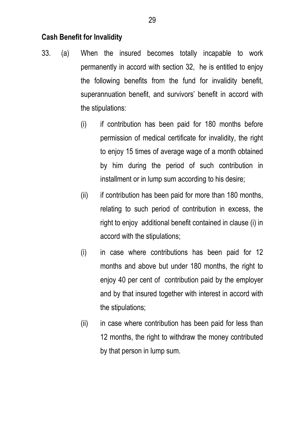#### **Cash Benefit for Invalidity**

- 33. (a) When the insured becomes totally incapable to work permanently in accord with section 32, he is entitled to enjoy the following benefits from the fund for invalidity benefit, superannuation benefit, and survivors' benefit in accord with the stipulations:
	- (i) if contribution has been paid for 180 months before permission of medical certificate for invalidity, the right to enjoy 15 times of average wage of a month obtained by him during the period of such contribution in installment or in lump sum according to his desire;
	- (ii) if contribution has been paid for more than 180 months, relating to such period of contribution in excess, the right to enjoy additional benefit contained in clause (i) in accord with the stipulations;
	- (i) in case where contributions has been paid for 12 months and above but under 180 months, the right to enjoy 40 per cent of contribution paid by the employer and by that insured together with interest in accord with the stipulations;
	- (ii) in case where contribution has been paid for less than 12 months, the right to withdraw the money contributed by that person in lump sum.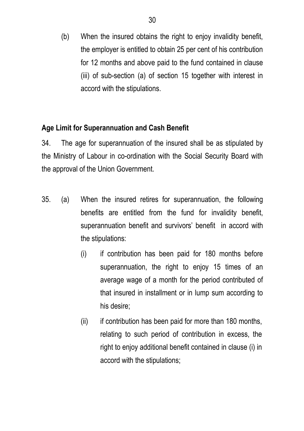(b) When the insured obtains the right to enjoy invalidity benefit, the employer is entitled to obtain 25 per cent of his contribution for 12 months and above paid to the fund contained in clause (iii) of sub-section (a) of section 15 together with interest in accord with the stipulations.

#### **Age Limit for Superannuation and Cash Benefit**

34. The age for superannuation of the insured shall be as stipulated by the Ministry of Labour in co-ordination with the Social Security Board with the approval of the Union Government.

- 35. (a) When the insured retires for superannuation, the following benefits are entitled from the fund for invalidity benefit, superannuation benefit and survivors' benefit in accord with the stipulations:
	- (i) if contribution has been paid for 180 months before superannuation, the right to enjoy 15 times of an average wage of a month for the period contributed of that insured in installment or in lump sum according to his desire;
	- (ii) if contribution has been paid for more than 180 months, relating to such period of contribution in excess, the right to enjoy additional benefit contained in clause (i) in accord with the stipulations;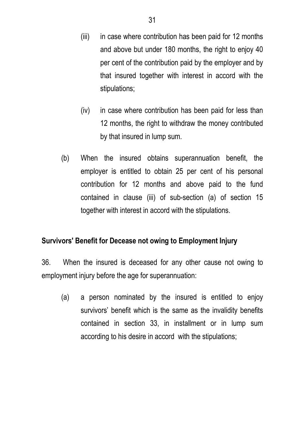- (iii) in case where contribution has been paid for 12 months and above but under 180 months, the right to enjoy 40 per cent of the contribution paid by the employer and by that insured together with interest in accord with the stipulations;
- (iv) in case where contribution has been paid for less than 12 months, the right to withdraw the money contributed by that insured in lump sum.
- (b) When the insured obtains superannuation benefit, the employer is entitled to obtain 25 per cent of his personal contribution for 12 months and above paid to the fund contained in clause (iii) of sub-section (a) of section 15 together with interest in accord with the stipulations.

#### **Survivors' Benefit for Decease not owing to Employment Injury**

36. When the insured is deceased for any other cause not owing to employment injury before the age for superannuation:

 (a) a person nominated by the insured is entitled to enjoy survivors' benefit which is the same as the invalidity benefits contained in section 33, in installment or in lump sum according to his desire in accord with the stipulations;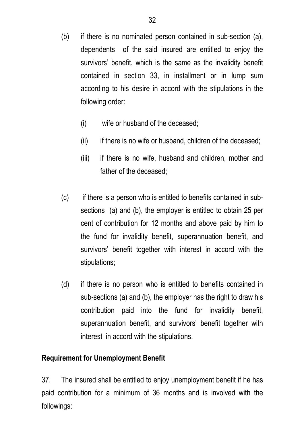- (b) if there is no nominated person contained in sub-section (a), dependents of the said insured are entitled to enjoy the survivors' benefit, which is the same as the invalidity benefit contained in section 33, in installment or in lump sum according to his desire in accord with the stipulations in the following order:
	- (i) wife or husband of the deceased;
	- $(iii)$  if there is no wife or husband, children of the deceased;
	- (iii) if there is no wife, husband and children, mother and father of the deceased;
- (c) if there is a person who is entitled to benefits contained in subsections (a) and (b), the employer is entitled to obtain 25 per cent of contribution for 12 months and above paid by him to the fund for invalidity benefit, superannuation benefit, and survivors' benefit together with interest in accord with the stipulations;
- (d) if there is no person who is entitled to benefits contained in sub-sections (a) and (b), the employer has the right to draw his contribution paid into the fund for invalidity benefit, superannuation benefit, and survivors' benefit together with interest in accord with the stipulations.

### **Requirement for Unemployment Benefit**

37. The insured shall be entitled to enjoy unemployment benefit if he has paid contribution for a minimum of 36 months and is involved with the followings: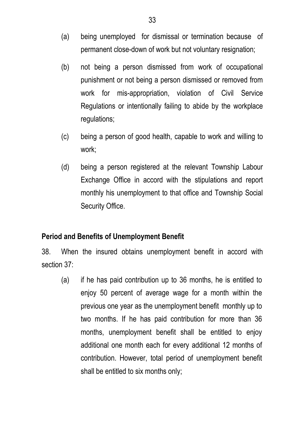- (a) being unemployed for dismissal or termination because of permanent close-down of work but not voluntary resignation;
- (b) not being a person dismissed from work of occupational punishment or not being a person dismissed or removed from work for mis-appropriation, violation of Civil Service Regulations or intentionally failing to abide by the workplace regulations;
- (c) being a person of good health, capable to work and willing to work;
- (d) being a person registered at the relevant Township Labour Exchange Office in accord with the stipulations and report monthly his unemployment to that office and Township Social Security Office.

### **Period and Benefits of Unemployment Benefit**

38. When the insured obtains unemployment benefit in accord with section 37:

 (a) if he has paid contribution up to 36 months, he is entitled to enjoy 50 percent of average wage for a month within the previous one year as the unemployment benefit monthly up to two months. If he has paid contribution for more than 36 months, unemployment benefit shall be entitled to enjoy additional one month each for every additional 12 months of contribution. However, total period of unemployment benefit shall be entitled to six months only;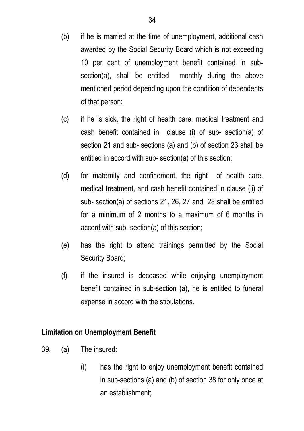- (b) if he is married at the time of unemployment, additional cash awarded by the Social Security Board which is not exceeding 10 per cent of unemployment benefit contained in subsection(a), shall be entitled monthly during the above mentioned period depending upon the condition of dependents of that person;
- (c) if he is sick, the right of health care, medical treatment and cash benefit contained in clause (i) of sub- section(a) of section 21 and sub- sections (a) and (b) of section 23 shall be entitled in accord with sub- section(a) of this section;
- (d) for maternity and confinement, the right of health care, medical treatment, and cash benefit contained in clause (ii) of sub- section(a) of sections 21, 26, 27 and 28 shall be entitled for a minimum of 2 months to a maximum of 6 months in accord with sub- section(a) of this section;
- (e) has the right to attend trainings permitted by the Social Security Board;
- (f) if the insured is deceased while enjoying unemployment benefit contained in sub-section (a), he is entitled to funeral expense in accord with the stipulations.

### **Limitation on Unemployment Benefit**

- 39. (a) The insured:
	- (i) has the right to enjoy unemployment benefit contained in sub-sections (a) and (b) of section 38 for only once at an establishment;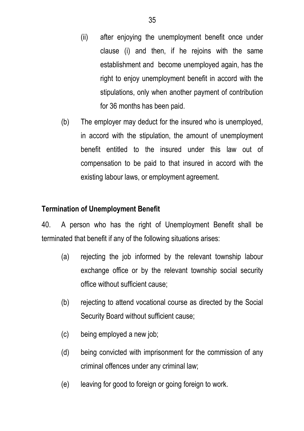- (ii) after enjoying the unemployment benefit once under clause (i) and then, if he rejoins with the same establishment and become unemployed again, has the right to enjoy unemployment benefit in accord with the stipulations, only when another payment of contribution for 36 months has been paid.
- (b) The employer may deduct for the insured who is unemployed, in accord with the stipulation, the amount of unemployment benefit entitled to the insured under this law out of compensation to be paid to that insured in accord with the existing labour laws, or employment agreement.

## **Termination of Unemployment Benefit**

40. A person who has the right of Unemployment Benefit shall be terminated that benefit if any of the following situations arises:

- (a) rejecting the job informed by the relevant township labour exchange office or by the relevant township social security office without sufficient cause;
- (b) rejecting to attend vocational course as directed by the Social Security Board without sufficient cause;
- (c) being employed a new job;
- (d) being convicted with imprisonment for the commission of any criminal offences under any criminal law;
- (e) leaving for good to foreign or going foreign to work.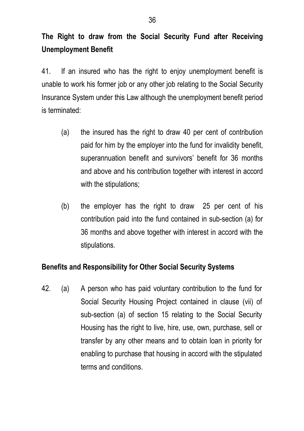# **The Right to draw from the Social Security Fund after Receiving Unemployment Benefit**

41. If an insured who has the right to enjoy unemployment benefit is unable to work his former job or any other job relating to the Social Security Insurance System under this Law although the unemployment benefit period is terminated:

- (a) the insured has the right to draw 40 per cent of contribution paid for him by the employer into the fund for invalidity benefit, superannuation benefit and survivors' benefit for 36 months and above and his contribution together with interest in accord with the stipulations;
- (b) the employer has the right to draw 25 per cent of his contribution paid into the fund contained in sub-section (a) for 36 months and above together with interest in accord with the stipulations.

# **Benefits and Responsibility for Other Social Security Systems**

42. (a) A person who has paid voluntary contribution to the fund for Social Security Housing Project contained in clause (vii) of sub-section (a) of section 15 relating to the Social Security Housing has the right to live, hire, use, own, purchase, sell or transfer by any other means and to obtain loan in priority for enabling to purchase that housing in accord with the stipulated terms and conditions.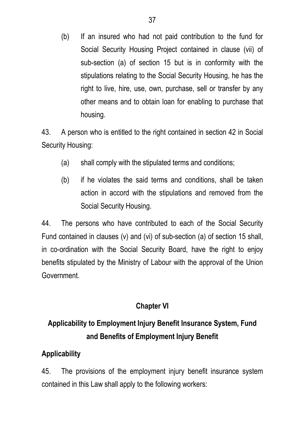(b) If an insured who had not paid contribution to the fund for Social Security Housing Project contained in clause (vii) of sub-section (a) of section 15 but is in conformity with the stipulations relating to the Social Security Housing, he has the right to live, hire, use, own, purchase, sell or transfer by any other means and to obtain loan for enabling to purchase that housing.

43. A person who is entitled to the right contained in section 42 in Social Security Housing:

- (a) shall comply with the stipulated terms and conditions;
- (b) if he violates the said terms and conditions, shall be taken action in accord with the stipulations and removed from the Social Security Housing.

44. The persons who have contributed to each of the Social Security Fund contained in clauses (v) and (vi) of sub-section (a) of section 15 shall, in co-ordination with the Social Security Board, have the right to enjoy benefits stipulated by the Ministry of Labour with the approval of the Union Government.

# **Chapter VI**

# **Applicability to Employment Injury Benefit Insurance System, Fund and Benefits of Employment Injury Benefit**

# **Applicability**

45. The provisions of the employment injury benefit insurance system contained in this Law shall apply to the following workers: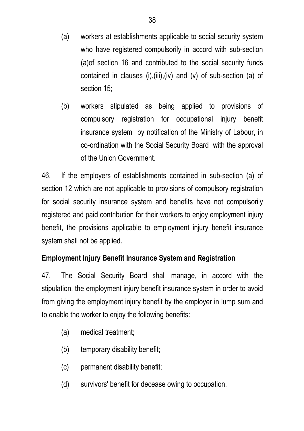- (a) workers at establishments applicable to social security system who have registered compulsorily in accord with sub-section (a)of section 16 and contributed to the social security funds contained in clauses (i),(iii),(iv) and (v) of sub-section (a) of section 15;
- (b) workers stipulated as being applied to provisions of compulsory registration for occupational injury benefit insurance system by notification of the Ministry of Labour, in co-ordination with the Social Security Board with the approval of the Union Government.

46. If the employers of establishments contained in sub-section (a) of section 12 which are not applicable to provisions of compulsory registration for social security insurance system and benefits have not compulsorily registered and paid contribution for their workers to enjoy employment injury benefit, the provisions applicable to employment injury benefit insurance system shall not be applied.

# **Employment Injury Benefit Insurance System and Registration**

47. The Social Security Board shall manage, in accord with the stipulation, the employment injury benefit insurance system in order to avoid from giving the employment injury benefit by the employer in lump sum and to enable the worker to enjoy the following benefits:

- (a) medical treatment;
- (b) temporary disability benefit;
- (c) permanent disability benefit;
- (d) survivors' benefit for decease owing to occupation.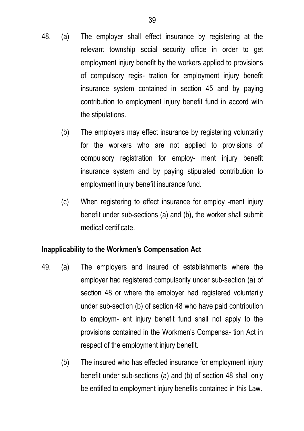- 48. (a) The employer shall effect insurance by registering at the relevant township social security office in order to get employment injury benefit by the workers applied to provisions of compulsory regis- tration for employment injury benefit insurance system contained in section 45 and by paying contribution to employment injury benefit fund in accord with the stipulations.
	- (b) The employers may effect insurance by registering voluntarily for the workers who are not applied to provisions of compulsory registration for employ- ment injury benefit insurance system and by paying stipulated contribution to employment injury benefit insurance fund.
	- (c) When registering to effect insurance for employ -ment injury benefit under sub-sections (a) and (b), the worker shall submit medical certificate.

### **Inapplicability to the Workmen's Compensation Act**

- 49. (a) The employers and insured of establishments where the employer had registered compulsorily under sub-section (a) of section 48 or where the employer had registered voluntarily under sub-section (b) of section 48 who have paid contribution to employm- ent injury benefit fund shall not apply to the provisions contained in the Workmen's Compensa- tion Act in respect of the employment injury benefit.
	- (b) The insured who has effected insurance for employment injury benefit under sub-sections (a) and (b) of section 48 shall only be entitled to employment injury benefits contained in this Law.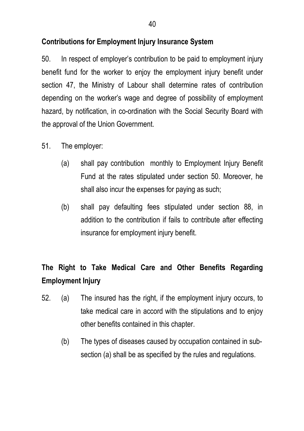## **Contributions for Employment Injury Insurance System**

50. In respect of employer's contribution to be paid to employment injury benefit fund for the worker to enjoy the employment injury benefit under section 47, the Ministry of Labour shall determine rates of contribution depending on the worker's wage and degree of possibility of employment hazard, by notification, in co-ordination with the Social Security Board with the approval of the Union Government.

- 51. The employer:
	- (a) shall pay contribution monthly to Employment Injury Benefit Fund at the rates stipulated under section 50. Moreover, he shall also incur the expenses for paying as such;
	- (b) shall pay defaulting fees stipulated under section 88, in addition to the contribution if fails to contribute after effecting insurance for employment injury benefit.

# **The Right to Take Medical Care and Other Benefits Regarding Employment Injury**

- 52. (a) The insured has the right, if the employment injury occurs, to take medical care in accord with the stipulations and to enjoy other benefits contained in this chapter.
	- (b) The types of diseases caused by occupation contained in subsection (a) shall be as specified by the rules and regulations.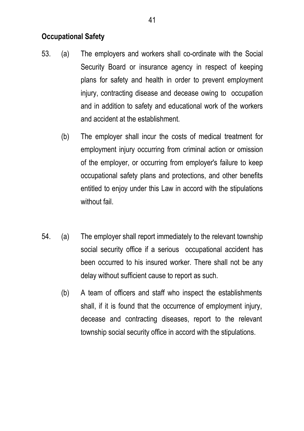### **Occupational Safety**

- 53. (a) The employers and workers shall co-ordinate with the Social Security Board or insurance agency in respect of keeping plans for safety and health in order to prevent employment injury, contracting disease and decease owing to occupation and in addition to safety and educational work of the workers and accident at the establishment.
	- (b) The employer shall incur the costs of medical treatment for employment injury occurring from criminal action or omission of the employer, or occurring from employer's failure to keep occupational safety plans and protections, and other benefits entitled to enjoy under this Law in accord with the stipulations without fail
- 54. (a) The employer shall report immediately to the relevant township social security office if a serious occupational accident has been occurred to his insured worker. There shall not be any delay without sufficient cause to report as such.
	- (b) A team of officers and staff who inspect the establishments shall, if it is found that the occurrence of employment injury, decease and contracting diseases, report to the relevant township social security office in accord with the stipulations.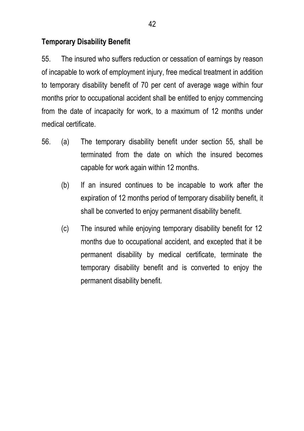### **Temporary Disability Benefit**

55. The insured who suffers reduction or cessation of earnings by reason of incapable to work of employment injury, free medical treatment in addition to temporary disability benefit of 70 per cent of average wage within four months prior to occupational accident shall be entitled to enjoy commencing from the date of incapacity for work, to a maximum of 12 months under medical certificate.

- 56. (a) The temporary disability benefit under section 55, shall be terminated from the date on which the insured becomes capable for work again within 12 months.
	- (b) If an insured continues to be incapable to work after the expiration of 12 months period of temporary disability benefit, it shall be converted to enjoy permanent disability benefit.
	- (c) The insured while enjoying temporary disability benefit for 12 months due to occupational accident, and excepted that it be permanent disability by medical certificate, terminate the temporary disability benefit and is converted to enjoy the permanent disability benefit.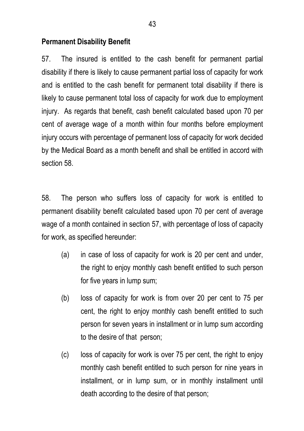### **Permanent Disability Benefit**

57. The insured is entitled to the cash benefit for permanent partial disability if there is likely to cause permanent partial loss of capacity for work and is entitled to the cash benefit for permanent total disability if there is likely to cause permanent total loss of capacity for work due to employment injury. As regards that benefit, cash benefit calculated based upon 70 per cent of average wage of a month within four months before employment injury occurs with percentage of permanent loss of capacity for work decided by the Medical Board as a month benefit and shall be entitled in accord with section 58.

58. The person who suffers loss of capacity for work is entitled to permanent disability benefit calculated based upon 70 per cent of average wage of a month contained in section 57, with percentage of loss of capacity for work, as specified hereunder:

- (a) in case of loss of capacity for work is 20 per cent and under, the right to enjoy monthly cash benefit entitled to such person for five years in lump sum;
- (b) loss of capacity for work is from over 20 per cent to 75 per cent, the right to enjoy monthly cash benefit entitled to such person for seven years in installment or in lump sum according to the desire of that person;
- (c) loss of capacity for work is over 75 per cent, the right to enjoy monthly cash benefit entitled to such person for nine years in installment, or in lump sum, or in monthly installment until death according to the desire of that person;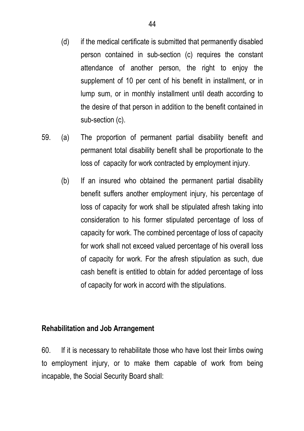- (d) if the medical certificate is submitted that permanently disabled person contained in sub-section (c) requires the constant attendance of another person, the right to enjoy the supplement of 10 per cent of his benefit in installment, or in lump sum, or in monthly installment until death according to the desire of that person in addition to the benefit contained in sub-section (c).
- 59. (a) The proportion of permanent partial disability benefit and permanent total disability benefit shall be proportionate to the loss of capacity for work contracted by employment injury.
	- (b) If an insured who obtained the permanent partial disability benefit suffers another employment injury, his percentage of loss of capacity for work shall be stipulated afresh taking into consideration to his former stipulated percentage of loss of capacity for work. The combined percentage of loss of capacity for work shall not exceed valued percentage of his overall loss of capacity for work. For the afresh stipulation as such, due cash benefit is entitled to obtain for added percentage of loss of capacity for work in accord with the stipulations.

#### **Rehabilitation and Job Arrangement**

60. If it is necessary to rehabilitate those who have lost their limbs owing to employment injury, or to make them capable of work from being incapable, the Social Security Board shall: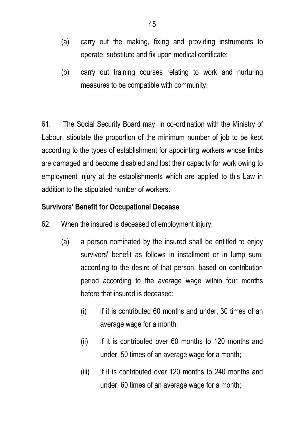- (a) carry out the making, fixing and providing instruments to operate, substitute and fix upon medical certificate;
- (b) carry out training courses relating to work and nurturing measures to be compatible with community.

61. The Social Security Board may, in co-ordination with the Ministry of Labour, stipulate the proportion of the minimum number of job to be kept according to the types of establishment for appointing workers whose limbs are damaged and become disabled and lost their capacity for work owing to employment injury at the establishments which are applied to this Law in addition to the stipulated number of workers.

### **Survivors' Benefit for Occupational Decease**

- 62. When the insured is deceased of employment injury:
	- (a) a person nominated by the insured shall be entitled to enjoy survivors' benefit as follows in installment or in lump sum, according to the desire of that person, based on contribution period according to the average wage within four months before that insured is deceased:
		- $(i)$  if it is contributed 60 months and under, 30 times of an average wage for a month;
		- (ii) if it is contributed over 60 months to 120 months and under, 50 times of an average wage for a month;
		- (iii) if it is contributed over 120 months to 240 months and under, 60 times of an average wage for a month;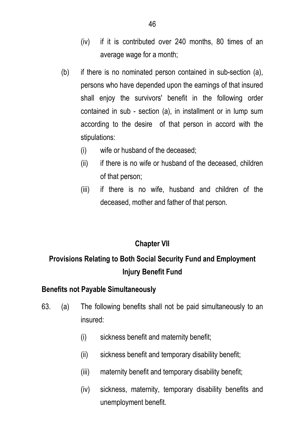- (iv) if it is contributed over 240 months, 80 times of an average wage for a month;
- (b) if there is no nominated person contained in sub-section (a), persons who have depended upon the earnings of that insured shall enjoy the survivors' benefit in the following order contained in sub - section (a), in installment or in lump sum according to the desire of that person in accord with the stipulations:
	- (i) wife or husband of the deceased;
	- (ii) if there is no wife or husband of the deceased, children of that person;
	- (iii) if there is no wife, husband and children of the deceased, mother and father of that person.

# **Chapter VII**

# **Provisions Relating to Both Social Security Fund and Employment Injury Benefit Fund**

### **Benefits not Payable Simultaneously**

- 63. (a) The following benefits shall not be paid simultaneously to an insured:
	- (i) sickness benefit and maternity benefit;
	- (ii) sickness benefit and temporary disability benefit;
	- (iii) maternity benefit and temporary disability benefit;
	- (iv) sickness, maternity, temporary disability benefits and unemployment benefit.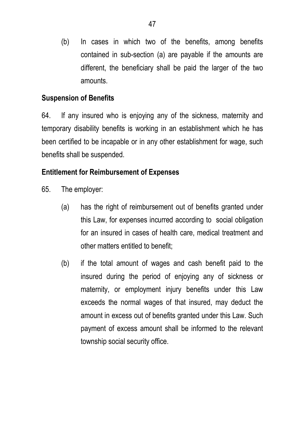(b) In cases in which two of the benefits, among benefits contained in sub-section (a) are payable if the amounts are different, the beneficiary shall be paid the larger of the two amounts.

### **Suspension of Benefits**

64. If any insured who is enjoying any of the sickness, maternity and temporary disability benefits is working in an establishment which he has been certified to be incapable or in any other establishment for wage, such benefits shall be suspended.

### **Entitlement for Reimbursement of Expenses**

- 65. The employer:
	- (a) has the right of reimbursement out of benefits granted under this Law, for expenses incurred according to social obligation for an insured in cases of health care, medical treatment and other matters entitled to benefit;
	- (b) if the total amount of wages and cash benefit paid to the insured during the period of enjoying any of sickness or maternity, or employment injury benefits under this Law exceeds the normal wages of that insured, may deduct the amount in excess out of benefits granted under this Law. Such payment of excess amount shall be informed to the relevant township social security office.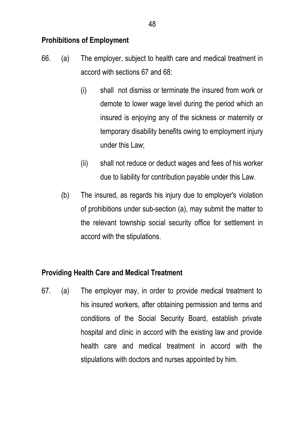# **Prohibitions of Employment**

- 66. (a) The employer, subject to health care and medical treatment in accord with sections 67 and 68:
	- (i) shall not dismiss or terminate the insured from work or demote to lower wage level during the period which an insured is enjoying any of the sickness or maternity or temporary disability benefits owing to employment injury under this Law;
	- (ii) shall not reduce or deduct wages and fees of his worker due to liability for contribution payable under this Law.
	- (b) The insured, as regards his injury due to employer's violation of prohibitions under sub-section (a), may submit the matter to the relevant township social security office for settlement in accord with the stipulations.

### **Providing Health Care and Medical Treatment**

67. (a) The employer may, in order to provide medical treatment to his insured workers, after obtaining permission and terms and conditions of the Social Security Board, establish private hospital and clinic in accord with the existing law and provide health care and medical treatment in accord with the stipulations with doctors and nurses appointed by him.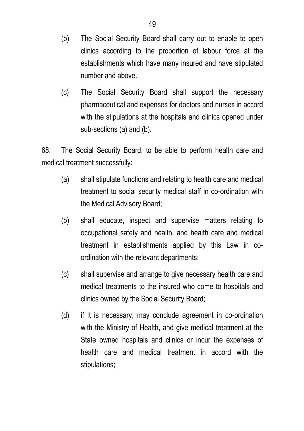- (b) The Social Security Board shall carry out to enable to open clinics according to the proportion of labour force at the establishments which have many insured and have stipulated number and above.
- (c) The Social Security Board shall support the necessary pharmaceutical and expenses for doctors and nurses in accord with the stipulations at the hospitals and clinics opened under sub-sections (a) and (b).

68. The Social Security Board, to be able to perform health care and medical treatment successfully:

- (a) shall stipulate functions and relating to health care and medical treatment to social security medical staff in co-ordination with the Medical Advisory Board;
- (b) shall educate, inspect and supervise matters relating to occupational safety and health, and health care and medical treatment in establishments applied by this Law in coordination with the relevant departments;
- (c) shall supervise and arrange to give necessary health care and medical treatments to the insured who come to hospitals and clinics owned by the Social Security Board;
- (d) if it is necessary, may conclude agreement in co-ordination with the Ministry of Health, and give medical treatment at the State owned hospitals and clinics or incur the expenses of health care and medical treatment in accord with the stipulations;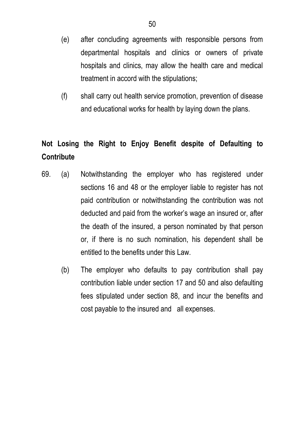- (e) after concluding agreements with responsible persons from departmental hospitals and clinics or owners of private hospitals and clinics, may allow the health care and medical treatment in accord with the stipulations;
- (f) shall carry out health service promotion, prevention of disease and educational works for health by laying down the plans.

# **Not Losing the Right to Enjoy Benefit despite of Defaulting to Contribute**

- 69. (a) Notwithstanding the employer who has registered under sections 16 and 48 or the employer liable to register has not paid contribution or notwithstanding the contribution was not deducted and paid from the worker's wage an insured or, after the death of the insured, a person nominated by that person or, if there is no such nomination, his dependent shall be entitled to the benefits under this Law.
	- (b) The employer who defaults to pay contribution shall pay contribution liable under section 17 and 50 and also defaulting fees stipulated under section 88, and incur the benefits and cost payable to the insured and all expenses.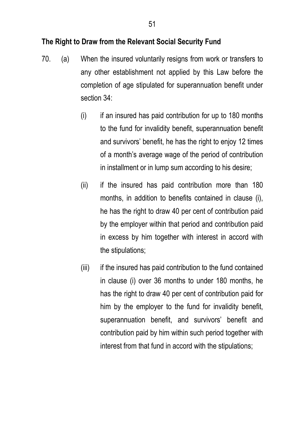#### **The Right to Draw from the Relevant Social Security Fund**

- 70. (a) When the insured voluntarily resigns from work or transfers to any other establishment not applied by this Law before the completion of age stipulated for superannuation benefit under section 34:
	- $(i)$  if an insured has paid contribution for up to 180 months to the fund for invalidity benefit, superannuation benefit and survivors' benefit, he has the right to enjoy 12 times of a month's average wage of the period of contribution in installment or in lump sum according to his desire;
	- (ii) if the insured has paid contribution more than 180 months, in addition to benefits contained in clause (i), he has the right to draw 40 per cent of contribution paid by the employer within that period and contribution paid in excess by him together with interest in accord with the stipulations;
	- (iii) if the insured has paid contribution to the fund contained in clause (i) over 36 months to under 180 months, he has the right to draw 40 per cent of contribution paid for him by the employer to the fund for invalidity benefit, superannuation benefit, and survivors' benefit and contribution paid by him within such period together with interest from that fund in accord with the stipulations;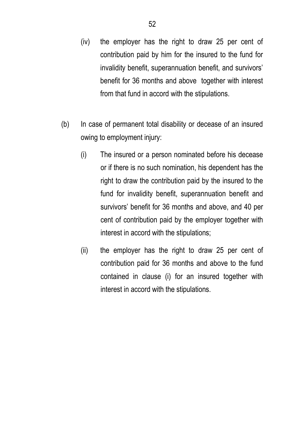- (iv) the employer has the right to draw 25 per cent of contribution paid by him for the insured to the fund for invalidity benefit, superannuation benefit, and survivors' benefit for 36 months and above together with interest from that fund in accord with the stipulations.
- (b) In case of permanent total disability or decease of an insured owing to employment injury:
	- (i) The insured or a person nominated before his decease or if there is no such nomination, his dependent has the right to draw the contribution paid by the insured to the fund for invalidity benefit, superannuation benefit and survivors' benefit for 36 months and above, and 40 per cent of contribution paid by the employer together with interest in accord with the stipulations;
	- (ii) the employer has the right to draw 25 per cent of contribution paid for 36 months and above to the fund contained in clause (i) for an insured together with interest in accord with the stipulations.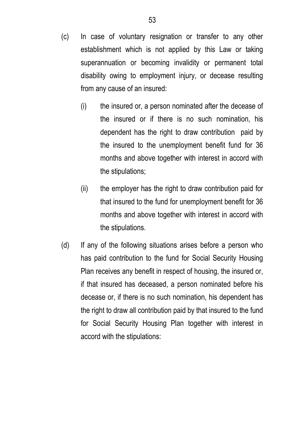- (c) In case of voluntary resignation or transfer to any other establishment which is not applied by this Law or taking superannuation or becoming invalidity or permanent total disability owing to employment injury, or decease resulting from any cause of an insured:
	- (i) the insured or, a person nominated after the decease of the insured or if there is no such nomination, his dependent has the right to draw contribution paid by the insured to the unemployment benefit fund for 36 months and above together with interest in accord with the stipulations;
	- (ii) the employer has the right to draw contribution paid for that insured to the fund for unemployment benefit for 36 months and above together with interest in accord with the stipulations.
- (d) If any of the following situations arises before a person who has paid contribution to the fund for Social Security Housing Plan receives any benefit in respect of housing, the insured or, if that insured has deceased, a person nominated before his decease or, if there is no such nomination, his dependent has the right to draw all contribution paid by that insured to the fund for Social Security Housing Plan together with interest in accord with the stipulations: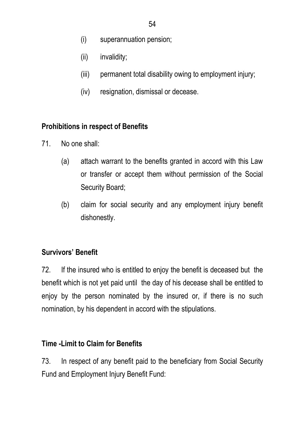- (i) superannuation pension;
- (ii) invalidity;
- (iii) permanent total disability owing to employment injury;
- (iv) resignation, dismissal or decease.

### **Prohibitions in respect of Benefits**

- 71. No one shall:
	- (a) attach warrant to the benefits granted in accord with this Law or transfer or accept them without permission of the Social Security Board;
	- (b) claim for social security and any employment injury benefit dishonestly.

# **Survivors' Benefit**

72. If the insured who is entitled to enjoy the benefit is deceased but the benefit which is not yet paid until the day of his decease shall be entitled to enjoy by the person nominated by the insured or, if there is no such nomination, by his dependent in accord with the stipulations.

### **Time -Limit to Claim for Benefits**

73. In respect of any benefit paid to the beneficiary from Social Security Fund and Employment Injury Benefit Fund: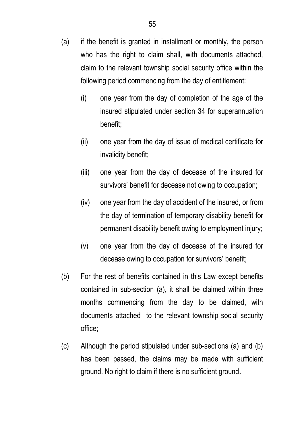- (i) one year from the day of completion of the age of the insured stipulated under section 34 for superannuation benefit;
- (ii) one year from the day of issue of medical certificate for invalidity benefit;
- (iii) one year from the day of decease of the insured for survivors' benefit for decease not owing to occupation;
- (iv) one year from the day of accident of the insured, or from the day of termination of temporary disability benefit for permanent disability benefit owing to employment injury;
- (v) one year from the day of decease of the insured for decease owing to occupation for survivors' benefit;
- (b) For the rest of benefits contained in this Law except benefits contained in sub-section (a), it shall be claimed within three months commencing from the day to be claimed, with documents attached to the relevant township social security office;
- (c) Although the period stipulated under sub-sections (a) and (b) has been passed, the claims may be made with sufficient ground. No right to claim if there is no sufficient ground.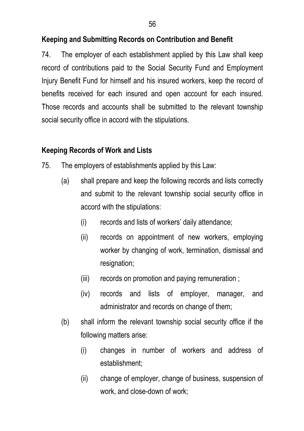### **Keeping and Submitting Records on Contribution and Benefit**

74. The employer of each establishment applied by this Law shall keep record of contributions paid to the Social Security Fund and Employment Injury Benefit Fund for himself and his insured workers, keep the record of benefits received for each insured and open account for each insured. Those records and accounts shall be submitted to the relevant township social security office in accord with the stipulations.

### **Keeping Records of Work and Lists**

- 75. The employers of establishments applied by this Law:
	- (a) shall prepare and keep the following records and lists correctly and submit to the relevant township social security office in accord with the stipulations:
		- (i) records and lists of workers' daily attendance;
		- (ii) records on appointment of new workers, employing worker by changing of work, termination, dismissal and resignation;
		- (iii) records on promotion and paying remuneration ;
		- (iv) records and lists of employer, manager, and administrator and records on change of them;
	- (b) shall inform the relevant township social security office if the following matters arise:
		- (i) changes in number of workers and address of establishment;
		- (ii) change of employer, change of business, suspension of work, and close-down of work;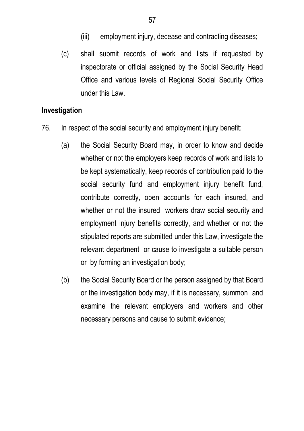- (iii) employment injury, decease and contracting diseases;
- (c) shall submit records of work and lists if requested by inspectorate or official assigned by the Social Security Head Office and various levels of Regional Social Security Office under this Law.

#### **Investigation**

- 76. In respect of the social security and employment injury benefit:
	- (a) the Social Security Board may, in order to know and decide whether or not the employers keep records of work and lists to be kept systematically, keep records of contribution paid to the social security fund and employment injury benefit fund, contribute correctly, open accounts for each insured, and whether or not the insured workers draw social security and employment injury benefits correctly, and whether or not the stipulated reports are submitted under this Law, investigate the relevant department or cause to investigate a suitable person or by forming an investigation body;
	- (b) the Social Security Board or the person assigned by that Board or the investigation body may, if it is necessary, summon and examine the relevant employers and workers and other necessary persons and cause to submit evidence;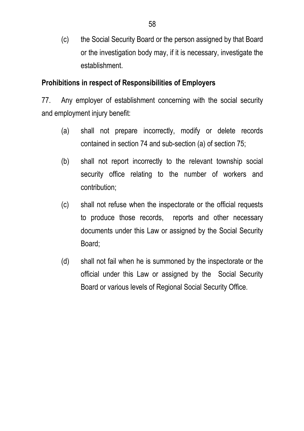(c) the Social Security Board or the person assigned by that Board or the investigation body may, if it is necessary, investigate the establishment.

### **Prohibitions in respect of Responsibilities of Employers**

77. Any employer of establishment concerning with the social security and employment injury benefit:

- (a) shall not prepare incorrectly, modify or delete records contained in section 74 and sub-section (a) of section 75;
- (b) shall not report incorrectly to the relevant township social security office relating to the number of workers and contribution;
- (c) shall not refuse when the inspectorate or the official requests to produce those records, reports and other necessary documents under this Law or assigned by the Social Security Board;
- (d) shall not fail when he is summoned by the inspectorate or the official under this Law or assigned by the Social Security Board or various levels of Regional Social Security Office.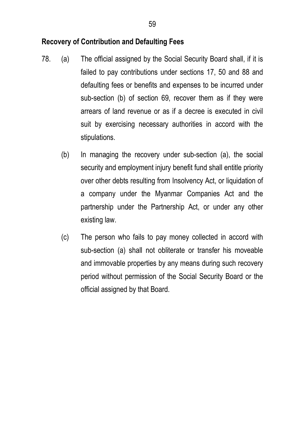#### **Recovery of Contribution and Defaulting Fees**

- 78. (a) The official assigned by the Social Security Board shall, if it is failed to pay contributions under sections 17, 50 and 88 and defaulting fees or benefits and expenses to be incurred under sub-section (b) of section 69, recover them as if they were arrears of land revenue or as if a decree is executed in civil suit by exercising necessary authorities in accord with the stipulations.
	- (b) In managing the recovery under sub-section (a), the social security and employment injury benefit fund shall entitle priority over other debts resulting from Insolvency Act, or liquidation of a company under the Myanmar Companies Act and the partnership under the Partnership Act, or under any other existing law.
	- (c) The person who fails to pay money collected in accord with sub-section (a) shall not obliterate or transfer his moveable and immovable properties by any means during such recovery period without permission of the Social Security Board or the official assigned by that Board.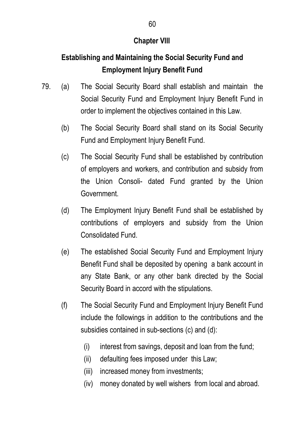## **Chapter VIII**

# **Establishing and Maintaining the Social Security Fund and Employment Injury Benefit Fund**

- 79. (a) The Social Security Board shall establish and maintain the Social Security Fund and Employment Injury Benefit Fund in order to implement the objectives contained in this Law.
	- (b) The Social Security Board shall stand on its Social Security Fund and Employment Injury Benefit Fund.
	- (c) The Social Security Fund shall be established by contribution of employers and workers, and contribution and subsidy from the Union Consoli- dated Fund granted by the Union Government.
	- (d) The Employment Injury Benefit Fund shall be established by contributions of employers and subsidy from the Union Consolidated Fund.
	- (e) The established Social Security Fund and Employment Injury Benefit Fund shall be deposited by opening a bank account in any State Bank, or any other bank directed by the Social Security Board in accord with the stipulations.
	- (f) The Social Security Fund and Employment Injury Benefit Fund include the followings in addition to the contributions and the subsidies contained in sub-sections (c) and (d):
		- (i) interest from savings, deposit and loan from the fund;
		- (ii) defaulting fees imposed under this Law;
		- (iii) increased money from investments;
		- (iv) money donated by well wishers from local and abroad.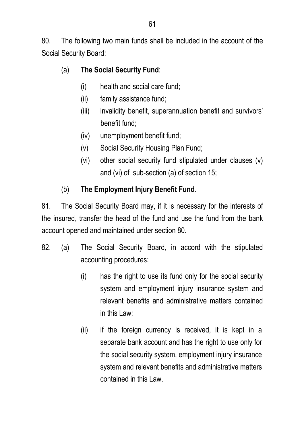80. The following two main funds shall be included in the account of the Social Security Board:

- (a) **The Social Security Fund**:
	- (i) health and social care fund;
	- (ii) family assistance fund;
	- (iii) invalidity benefit, superannuation benefit and survivors' benefit fund;
	- (iv) unemployment benefit fund;
	- (v) Social Security Housing Plan Fund;
	- (vi) other social security fund stipulated under clauses (v) and (vi) of sub-section (a) of section 15;

# (b) **The Employment Injury Benefit Fund**.

81. The Social Security Board may, if it is necessary for the interests of the insured, transfer the head of the fund and use the fund from the bank account opened and maintained under section 80.

- 82. (a) The Social Security Board, in accord with the stipulated accounting procedures:
	- (i) has the right to use its fund only for the social security system and employment injury insurance system and relevant benefits and administrative matters contained in this Law;
	- (ii) if the foreign currency is received, it is kept in a separate bank account and has the right to use only for the social security system, employment injury insurance system and relevant benefits and administrative matters contained in this Law.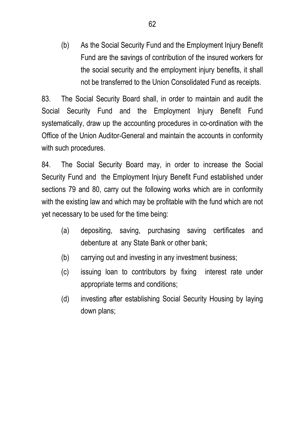(b) As the Social Security Fund and the Employment Injury Benefit Fund are the savings of contribution of the insured workers for the social security and the employment injury benefits, it shall not be transferred to the Union Consolidated Fund as receipts.

 83. The Social Security Board shall, in order to maintain and audit the Social Security Fund and the Employment Injury Benefit Fund systematically, draw up the accounting procedures in co-ordination with the Office of the Union Auditor-General and maintain the accounts in conformity with such procedures.

 84. The Social Security Board may, in order to increase the Social Security Fund and the Employment Injury Benefit Fund established under sections 79 and 80, carry out the following works which are in conformity with the existing law and which may be profitable with the fund which are not yet necessary to be used for the time being:

- (a) depositing, saving, purchasing saving certificates and debenture at any State Bank or other bank;
- (b) carrying out and investing in any investment business;
- (c) issuing loan to contributors by fixing interest rate under appropriate terms and conditions;
- (d) investing after establishing Social Security Housing by laying down plans;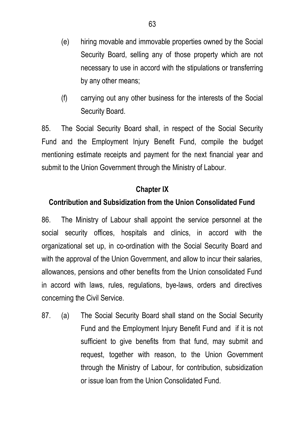- (e) hiring movable and immovable properties owned by the Social Security Board, selling any of those property which are not necessary to use in accord with the stipulations or transferring by any other means;
- (f) carrying out any other business for the interests of the Social Security Board.

85. The Social Security Board shall, in respect of the Social Security Fund and the Employment Injury Benefit Fund, compile the budget mentioning estimate receipts and payment for the next financial year and submit to the Union Government through the Ministry of Labour.

### **Chapter IX**

### **Contribution and Subsidization from the Union Consolidated Fund**

86. The Ministry of Labour shall appoint the service personnel at the social security offices, hospitals and clinics, in accord with the organizational set up, in co-ordination with the Social Security Board and with the approval of the Union Government, and allow to incur their salaries, allowances, pensions and other benefits from the Union consolidated Fund in accord with laws, rules, regulations, bye-laws, orders and directives concerning the Civil Service.

87. (a) The Social Security Board shall stand on the Social Security Fund and the Employment Injury Benefit Fund and if it is not sufficient to give benefits from that fund, may submit and request, together with reason, to the Union Government through the Ministry of Labour, for contribution, subsidization or issue loan from the Union Consolidated Fund.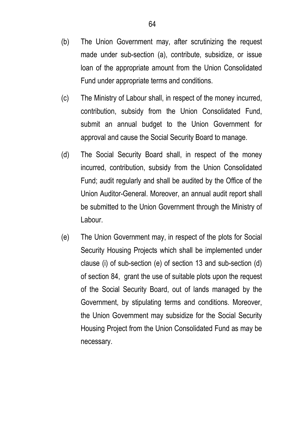- (b) The Union Government may, after scrutinizing the request made under sub-section (a), contribute, subsidize, or issue loan of the appropriate amount from the Union Consolidated Fund under appropriate terms and conditions.
- (c) The Ministry of Labour shall, in respect of the money incurred, contribution, subsidy from the Union Consolidated Fund, submit an annual budget to the Union Government for approval and cause the Social Security Board to manage.
- (d) The Social Security Board shall, in respect of the money incurred, contribution, subsidy from the Union Consolidated Fund; audit regularly and shall be audited by the Office of the Union Auditor-General. Moreover, an annual audit report shall be submitted to the Union Government through the Ministry of Labour.
- (e) The Union Government may, in respect of the plots for Social Security Housing Projects which shall be implemented under clause (i) of sub-section (e) of section 13 and sub-section (d) of section 84, grant the use of suitable plots upon the request of the Social Security Board, out of lands managed by the Government, by stipulating terms and conditions. Moreover, the Union Government may subsidize for the Social Security Housing Project from the Union Consolidated Fund as may be necessary.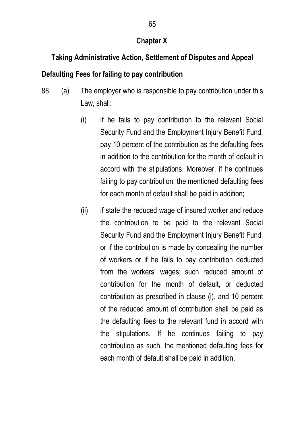### **Chapter X**

# **Taking Administrative Action, Settlement of Disputes and Appeal**

## **Defaulting Fees for failing to pay contribution**

- 88. (a) The employer who is responsible to pay contribution under this Law, shall:
	- (i) if he fails to pay contribution to the relevant Social Security Fund and the Employment Injury Benefit Fund, pay 10 percent of the contribution as the defaulting fees in addition to the contribution for the month of default in accord with the stipulations. Moreover, if he continues failing to pay contribution, the mentioned defaulting fees for each month of default shall be paid in addition;
	- (ii) if state the reduced wage of insured worker and reduce the contribution to be paid to the relevant Social Security Fund and the Employment Injury Benefit Fund, or if the contribution is made by concealing the number of workers or if he fails to pay contribution deducted from the workers' wages; such reduced amount of contribution for the month of default, or deducted contribution as prescribed in clause (i), and 10 percent of the reduced amount of contribution shall be paid as the defaulting fees to the relevant fund in accord with the stipulations. If he continues failing to pay contribution as such, the mentioned defaulting fees for each month of default shall be paid in addition.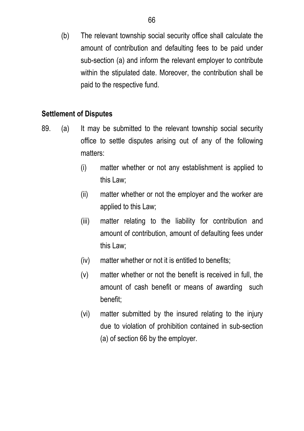(b) The relevant township social security office shall calculate the amount of contribution and defaulting fees to be paid under sub-section (a) and inform the relevant employer to contribute within the stipulated date. Moreover, the contribution shall be paid to the respective fund.

### **Settlement of Disputes**

- 89. (a) It may be submitted to the relevant township social security office to settle disputes arising out of any of the following matters:
	- (i) matter whether or not any establishment is applied to this Law;
	- (ii) matter whether or not the employer and the worker are applied to this Law;
	- (iii) matter relating to the liability for contribution and amount of contribution, amount of defaulting fees under this Law;
	- (iv) matter whether or not it is entitled to benefits;
	- (v) matter whether or not the benefit is received in full, the amount of cash benefit or means of awarding such benefit;
	- (vi) matter submitted by the insured relating to the injury due to violation of prohibition contained in sub-section (a) of section 66 by the employer.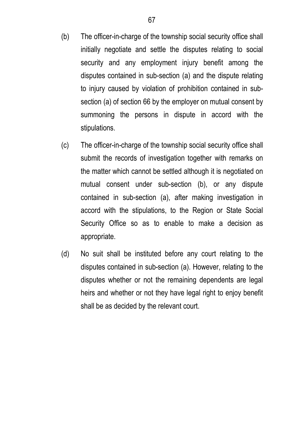- (b) The officer-in-charge of the township social security office shall initially negotiate and settle the disputes relating to social security and any employment injury benefit among the disputes contained in sub-section (a) and the dispute relating to injury caused by violation of prohibition contained in subsection (a) of section 66 by the employer on mutual consent by summoning the persons in dispute in accord with the stipulations.
- (c) The officer-in-charge of the township social security office shall submit the records of investigation together with remarks on the matter which cannot be settled although it is negotiated on mutual consent under sub-section (b), or any dispute contained in sub-section (a), after making investigation in accord with the stipulations, to the Region or State Social Security Office so as to enable to make a decision as appropriate.
- (d) No suit shall be instituted before any court relating to the disputes contained in sub-section (a). However, relating to the disputes whether or not the remaining dependents are legal heirs and whether or not they have legal right to enjoy benefit shall be as decided by the relevant court.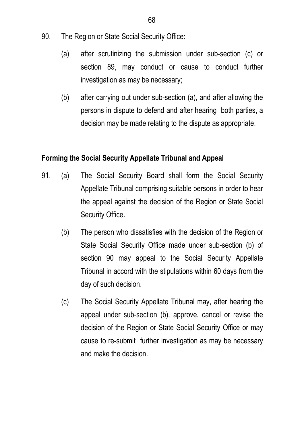- 90. The Region or State Social Security Office:
	- (a) after scrutinizing the submission under sub-section (c) or section 89, may conduct or cause to conduct further investigation as may be necessary;
	- (b) after carrying out under sub-section (a), and after allowing the persons in dispute to defend and after hearing both parties, a decision may be made relating to the dispute as appropriate.

### **Forming the Social Security Appellate Tribunal and Appeal**

- 91. (a) The Social Security Board shall form the Social Security Appellate Tribunal comprising suitable persons in order to hear the appeal against the decision of the Region or State Social Security Office.
	- (b) The person who dissatisfies with the decision of the Region or State Social Security Office made under sub-section (b) of section 90 may appeal to the Social Security Appellate Tribunal in accord with the stipulations within 60 days from the day of such decision.
	- (c) The Social Security Appellate Tribunal may, after hearing the appeal under sub-section (b), approve, cancel or revise the decision of the Region or State Social Security Office or may cause to re-submit further investigation as may be necessary and make the decision.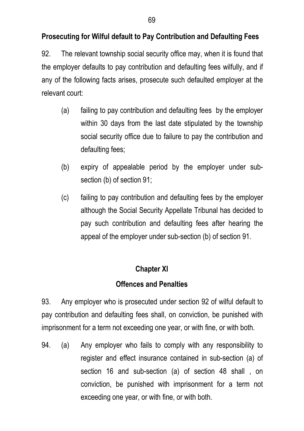# **Prosecuting for Wilful default to Pay Contribution and Defaulting Fees**

92. The relevant township social security office may, when it is found that the employer defaults to pay contribution and defaulting fees wilfully, and if any of the following facts arises, prosecute such defaulted employer at the relevant court:

- (a) failing to pay contribution and defaulting fees by the employer within 30 days from the last date stipulated by the township social security office due to failure to pay the contribution and defaulting fees;
- (b) expiry of appealable period by the employer under subsection (b) of section 91;
- (c) failing to pay contribution and defaulting fees by the employer although the Social Security Appellate Tribunal has decided to pay such contribution and defaulting fees after hearing the appeal of the employer under sub-section (b) of section 91.

## **Chapter XI**

## **Offences and Penalties**

93. Any employer who is prosecuted under section 92 of wilful default to pay contribution and defaulting fees shall, on conviction, be punished with imprisonment for a term not exceeding one year, or with fine, or with both.

94. (a) Any employer who fails to comply with any responsibility to register and effect insurance contained in sub-section (a) of section 16 and sub-section (a) of section 48 shall , on conviction, be punished with imprisonment for a term not exceeding one year, or with fine, or with both.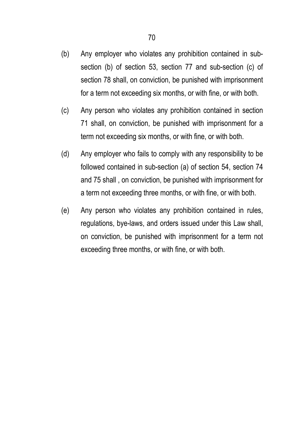- (b) Any employer who violates any prohibition contained in subsection (b) of section 53, section 77 and sub-section (c) of section 78 shall, on conviction, be punished with imprisonment for a term not exceeding six months, or with fine, or with both.
- (c) Any person who violates any prohibition contained in section 71 shall, on conviction, be punished with imprisonment for a term not exceeding six months, or with fine, or with both.
- (d) Any employer who fails to comply with any responsibility to be followed contained in sub-section (a) of section 54, section 74 and 75 shall , on conviction, be punished with imprisonment for a term not exceeding three months, or with fine, or with both.
- (e) Any person who violates any prohibition contained in rules, regulations, bye-laws, and orders issued under this Law shall, on conviction, be punished with imprisonment for a term not exceeding three months, or with fine, or with both.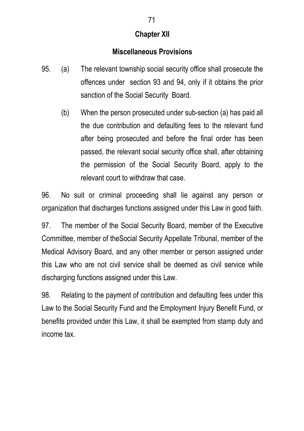## **Chapter XII**

#### **Miscellaneous Provisions**

- 95. (a) The relevant township social security office shall prosecute the offences under section 93 and 94, only if it obtains the prior sanction of the Social Security Board.
	- (b) When the person prosecuted under sub-section (a) has paid all the due contribution and defaulting fees to the relevant fund after being prosecuted and before the final order has been passed, the relevant social security office shall, after obtaining the permission of the Social Security Board, apply to the relevant court to withdraw that case.

96. No suit or criminal proceeding shall lie against any person or organization that discharges functions assigned under this Law in good faith.

97. The member of the Social Security Board, member of the Executive Committee, member of theSocial Security Appellate Tribunal, member of the Medical Advisory Board, and any other member or person assigned under this Law who are not civil service shall be deemed as civil service while discharging functions assigned under this Law.

98. Relating to the payment of contribution and defaulting fees under this Law to the Social Security Fund and the Employment Injury Benefit Fund, or benefits provided under this Law, it shall be exempted from stamp duty and income tax.

#### 71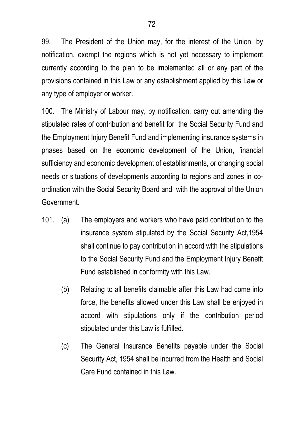99. The President of the Union may, for the interest of the Union, by notification, exempt the regions which is not yet necessary to implement currently according to the plan to be implemented all or any part of the provisions contained in this Law or any establishment applied by this Law or any type of employer or worker.

100. The Ministry of Labour may, by notification, carry out amending the stipulated rates of contribution and benefit for the Social Security Fund and the Employment Injury Benefit Fund and implementing insurance systems in phases based on the economic development of the Union, financial sufficiency and economic development of establishments, or changing social needs or situations of developments according to regions and zones in coordination with the Social Security Board and with the approval of the Union Government.

- 101. (a) The employers and workers who have paid contribution to the insurance system stipulated by the Social Security Act,1954 shall continue to pay contribution in accord with the stipulations to the Social Security Fund and the Employment Injury Benefit Fund established in conformity with this Law.
	- (b) Relating to all benefits claimable after this Law had come into force, the benefits allowed under this Law shall be enjoyed in accord with stipulations only if the contribution period stipulated under this Law is fulfilled.
	- (c) The General Insurance Benefits payable under the Social Security Act, 1954 shall be incurred from the Health and Social Care Fund contained in this Law.